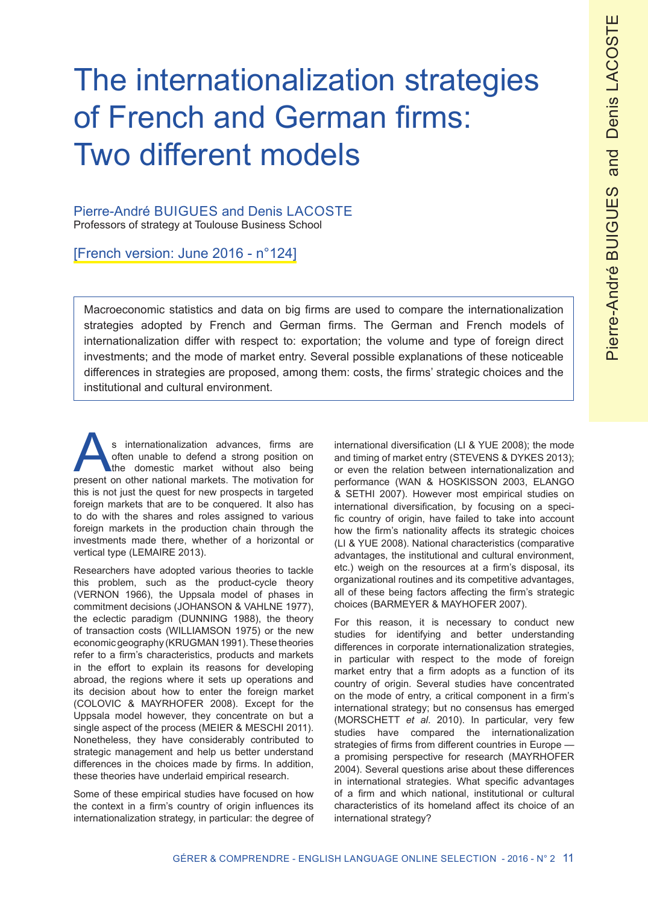# The internationalization strategies of French and German firms: Two different models

#### Pierre-André BUIGUES and Denis LACOSTE Professors of strategy at Toulouse Business School

[French version: June 2016 - n°124]

Macroeconomic statistics and data on big firms are used to compare the internationalization strategies adopted by French and German firms. The German and French models of internationalization differ with respect to: exportation; the volume and type of foreign direct investments; and the mode of market entry. Several possible explanations of these noticeable differences in strategies are proposed, among them: costs, the firms' strategic choices and the institutional and cultural environment.

s internationalization advances, firms are often unable to defend a strong position on the domestic market without also being present on other national markets. The motivation for this is not just the quest for new prospects in targeted foreign markets that are to be conquered. It also has to do with the shares and roles assigned to various foreign markets in the production chain through the investments made there, whether of a horizontal or vertical type (LEMAIRE 2013).

Researchers have adopted various theories to tackle this problem, such as the product-cycle theory (VERNON 1966), the Uppsala model of phases in commitment decisions (JOHANSON & VAHLNE 1977), the eclectic paradigm (DUNNING 1988), the theory of transaction costs (WILLIAMSON 1975) or the new economic geography (KRUGMAN 1991). These theories refer to a firm's characteristics, products and markets in the effort to explain its reasons for developing abroad, the regions where it sets up operations and its decision about how to enter the foreign market (COLOVIC & MAYRHOFER 2008). Except for the Uppsala model however, they concentrate on but a single aspect of the process (MEIER & MESCHI 2011). Nonetheless, they have considerably contributed to strategic management and help us better understand differences in the choices made by firms. In addition, these theories have underlaid empirical research.

Some of these empirical studies have focused on how the context in a firm's country of origin influences its internationalization strategy, in particular: the degree of international diversification (LI & YUE 2008); the mode and timing of market entry (STEVENS & DYKES 2013); or even the relation between internationalization and performance (WAN & HOSKISSON 2003, ELANGO & SETHI 2007). However most empirical studies on international diversification, by focusing on a specific country of origin, have failed to take into account how the firm's nationality affects its strategic choices (LI & YUE 2008). National characteristics (comparative advantages, the institutional and cultural environment, etc.) weigh on the resources at a firm's disposal, its organizational routines and its competitive advantages, all of these being factors affecting the firm's strategic choices (BARMEYER & MAYHOFER 2007).

For this reason, it is necessary to conduct new studies for identifying and better understanding differences in corporate internationalization strategies, in particular with respect to the mode of foreign market entry that a firm adopts as a function of its country of origin. Several studies have concentrated on the mode of entry, a critical component in a firm's international strategy; but no consensus has emerged (MORSCHETT *et al*. 2010). In particular, very few studies have compared the internationalization strategies of firms from different countries in Europe a promising perspective for research (MAYRHOFER 2004). Several questions arise about these differences in international strategies. What specific advantages of a firm and which national, institutional or cultural characteristics of its homeland affect its choice of an international strategy?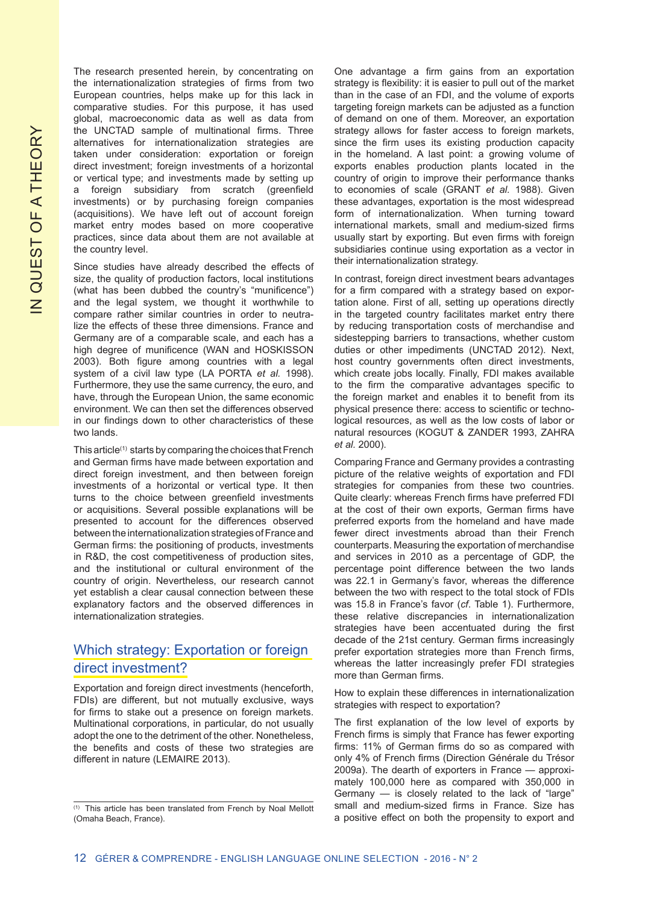The research presented herein, by concentrating on the internationalization strategies of firms from two European countries, helps make up for this lack in comparative studies. For this purpose, it has used global, macroeconomic data as well as data from the UNCTAD sample of multinational firms. Three alternatives for internationalization strategies are taken under consideration: exportation or foreign direct investment; foreign investments of a horizontal or vertical type; and investments made by setting up a foreign subsidiary from scratch (greenfield investments) or by purchasing foreign companies (acquisitions). We have left out of account foreign market entry modes based on more cooperative practices, since data about them are not available at the country level.

Since studies have already described the effects of size, the quality of production factors, local institutions (what has been dubbed the country's "munificence") and the legal system, we thought it worthwhile to compare rather similar countries in order to neutralize the effects of these three dimensions. France and Germany are of a comparable scale, and each has a high degree of munificence (WAN and HOSKISSON 2003). Both figure among countries with a legal system of a civil law type (LA PORTA *et al.* 1998). Furthermore, they use the same currency, the euro, and have, through the European Union, the same economic environment. We can then set the differences observed in our findings down to other characteristics of these two lands.

This article(1) starts by comparing the choices that French and German firms have made between exportation and direct foreign investment, and then between foreign investments of a horizontal or vertical type. It then turns to the choice between greenfield investments or acquisitions. Several possible explanations will be presented to account for the differences observed between the internationalization strategies of France and German firms: the positioning of products, investments in R&D, the cost competitiveness of production sites, and the institutional or cultural environment of the country of origin. Nevertheless, our research cannot yet establish a clear causal connection between these explanatory factors and the observed differences in internationalization strategies.

## Which strategy: Exportation or foreign direct investment?

Exportation and foreign direct investments (henceforth, FDIs) are different, but not mutually exclusive, ways for firms to stake out a presence on foreign markets. Multinational corporations, in particular, do not usually adopt the one to the detriment of the other. Nonetheless, the benefits and costs of these two strategies are different in nature (LEMAIRE 2013).

One advantage a firm gains from an exportation strategy is flexibility: it is easier to pull out of the market than in the case of an FDI, and the volume of exports targeting foreign markets can be adjusted as a function of demand on one of them. Moreover, an exportation strategy allows for faster access to foreign markets, since the firm uses its existing production capacity in the homeland. A last point: a growing volume of exports enables production plants located in the country of origin to improve their performance thanks to economies of scale (GRANT *et al.* 1988). Given these advantages, exportation is the most widespread form of internationalization. When turning toward international markets, small and medium-sized firms usually start by exporting. But even firms with foreign subsidiaries continue using exportation as a vector in their internationalization strategy.

In contrast, foreign direct investment bears advantages for a firm compared with a strategy based on exportation alone. First of all, setting up operations directly in the targeted country facilitates market entry there by reducing transportation costs of merchandise and sidestepping barriers to transactions, whether custom duties or other impediments (UNCTAD 2012). Next, host country governments often direct investments, which create jobs locally. Finally, FDI makes available to the firm the comparative advantages specific to the foreign market and enables it to benefit from its physical presence there: access to scientific or technological resources, as well as the low costs of labor or natural resources (KOGUT & ZANDER 1993, ZAHRA *et al.* 2000).

Comparing France and Germany provides a contrasting picture of the relative weights of exportation and FDI strategies for companies from these two countries. Quite clearly: whereas French firms have preferred FDI at the cost of their own exports, German firms have preferred exports from the homeland and have made fewer direct investments abroad than their French counterparts. Measuring the exportation of merchandise and services in 2010 as a percentage of GDP, the percentage point difference between the two lands was 22.1 in Germany's favor, whereas the difference between the two with respect to the total stock of FDIs was 15.8 in France's favor (*cf*. Table 1). Furthermore, these relative discrepancies in internationalization strategies have been accentuated during the first decade of the 21st century. German firms increasingly prefer exportation strategies more than French firms, whereas the latter increasingly prefer FDI strategies more than German firms.

How to explain these differences in internationalization strategies with respect to exportation?

The first explanation of the low level of exports by French firms is simply that France has fewer exporting firms: 11% of German firms do so as compared with only 4% of French firms (Direction Générale du Trésor 2009a). The dearth of exporters in France — approximately 100,000 here as compared with 350,000 in Germany — is closely related to the lack of "large" small and medium-sized firms in France. Size has a positive effect on both the propensity to export and

<sup>(1)</sup> This article has been translated from French by Noal Mellott (Omaha Beach, France).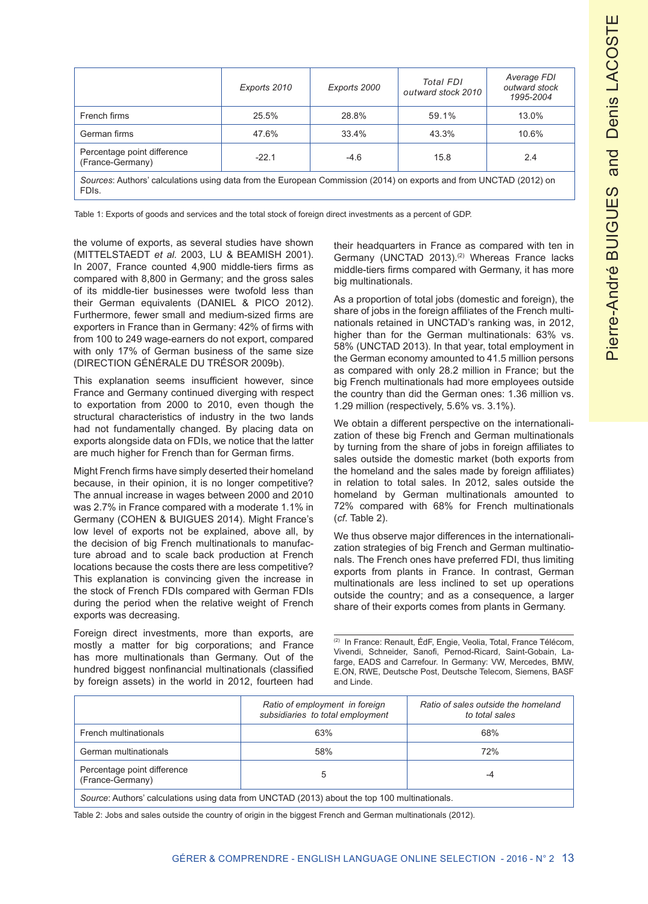|                                                                                                                                          | Exports 2010 | Exports 2000 | Total FDI<br>outward stock 2010 | Average FDI<br>outward stock<br>1995-2004 |
|------------------------------------------------------------------------------------------------------------------------------------------|--------------|--------------|---------------------------------|-------------------------------------------|
| French firms                                                                                                                             | 25.5%        | 28.8%        | 59.1%                           | 13.0%                                     |
| German firms                                                                                                                             | 47.6%        | 33.4%        | 43.3%                           | 10.6%                                     |
| Percentage point difference<br>(France-Germany)                                                                                          | $-22.1$      | $-4.6$       | 15.8                            | 2.4                                       |
| Sources: Authors' calculations using data from the European Commission (2014) on exports and from UNCTAD (2012) on<br>FDI <sub>s</sub> . |              |              |                                 |                                           |

Table 1: Exports of goods and services and the total stock of foreign direct investments as a percent of GDP.

the volume of exports, as several studies have shown (MITTELSTAEDT *et al.* 2003, LU & BEAMISH 2001). In 2007, France counted 4,900 middle-tiers firms as compared with 8,800 in Germany; and the gross sales of its middle-tier businesses were twofold less than their German equivalents (DANIEL & PICO 2012). Furthermore, fewer small and medium-sized firms are exporters in France than in Germany: 42% of firms with from 100 to 249 wage-earners do not export, compared with only 17% of German business of the same size (DIRECTION GÉNÉRALE DU TRÉSOR 2009b).

This explanation seems insufficient however, since France and Germany continued diverging with respect to exportation from 2000 to 2010, even though the structural characteristics of industry in the two lands had not fundamentally changed. By placing data on exports alongside data on FDIs, we notice that the latter are much higher for French than for German firms.

Might French firms have simply deserted their homeland because, in their opinion, it is no longer competitive? The annual increase in wages between 2000 and 2010 was 2.7% in France compared with a moderate 1.1% in Germany (COHEN & BUIGUES 2014). Might France's low level of exports not be explained, above all, by the decision of big French multinationals to manufacture abroad and to scale back production at French locations because the costs there are less competitive? This explanation is convincing given the increase in the stock of French FDIs compared with German FDIs during the period when the relative weight of French exports was decreasing.

Foreign direct investments, more than exports, are mostly a matter for big corporations; and France has more multinationals than Germany. Out of the hundred biggest nonfinancial multinationals (classified by foreign assets) in the world in 2012, fourteen had their headquarters in France as compared with ten in Germany (UNCTAD 2013).<sup>(2)</sup> Whereas France lacks middle-tiers firms compared with Germany, it has more big multinationals.

As a proportion of total jobs (domestic and foreign), the share of jobs in the foreign affiliates of the French multinationals retained in UNCTAD's ranking was, in 2012, higher than for the German multinationals: 63% vs. 58% (UNCTAD 2013). In that year, total employment in the German economy amounted to 41.5 million persons as compared with only 28.2 million in France; but the big French multinationals had more employees outside the country than did the German ones: 1.36 million vs. 1.29 million (respectively, 5.6% vs. 3.1%).

We obtain a different perspective on the internationalization of these big French and German multinationals by turning from the share of jobs in foreign affiliates to sales outside the domestic market (both exports from the homeland and the sales made by foreign affiliates) in relation to total sales. In 2012, sales outside the homeland by German multinationals amounted to 72% compared with 68% for French multinationals (*cf*. Table 2).

We thus observe major differences in the internationalization strategies of big French and German multinationals. The French ones have preferred FDI, thus limiting exports from plants in France. In contrast, German multinationals are less inclined to set up operations outside the country; and as a consequence, a larger share of their exports comes from plants in Germany.

(2) In France: Renault, ÉdF, Engie, Veolia, Total, France Télécom, Vivendi, Schneider, Sanofi, Pernod-Ricard, Saint-Gobain, Lafarge, EADS and Carrefour. In Germany: VW, Mercedes, BMW, E.ON, RWE, Deutsche Post, Deutsche Telecom, Siemens, BASF and Linde.

|                                                                                               | Ratio of employment in foreign<br>subsidiaries to total employment | Ratio of sales outside the homeland<br>to total sales |  |
|-----------------------------------------------------------------------------------------------|--------------------------------------------------------------------|-------------------------------------------------------|--|
| French multinationals                                                                         | 63%                                                                | 68%                                                   |  |
| German multinationals                                                                         | 58%                                                                | 72%                                                   |  |
| Percentage point difference<br>(France-Germany)                                               | -4                                                                 |                                                       |  |
| Source: Authors' calculations using data from UNCTAD (2013) about the top 100 multinationals. |                                                                    |                                                       |  |

Table 2: Jobs and sales outside the country of origin in the biggest French and German multinationals (2012).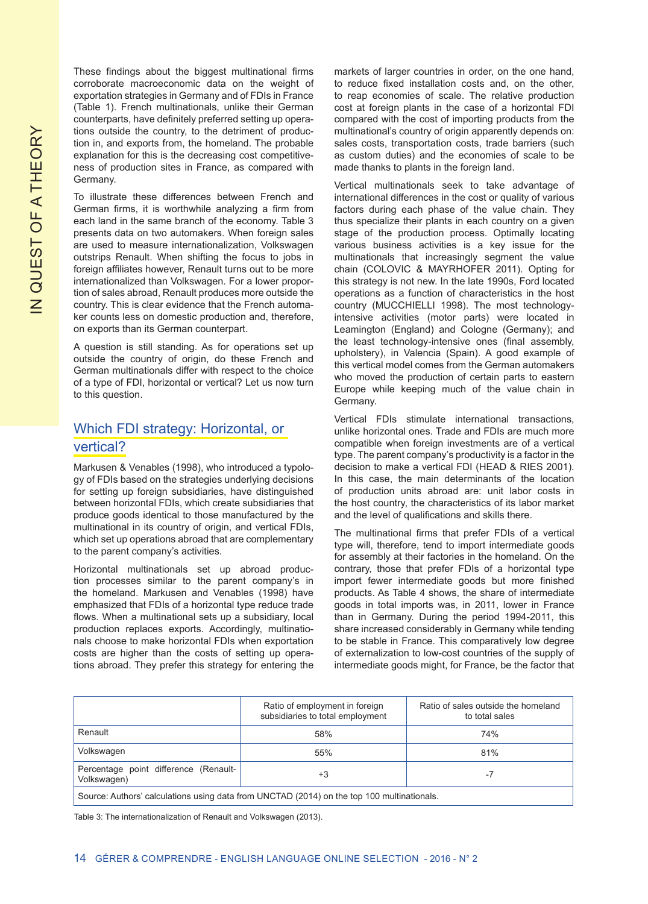These findings about the biggest multinational firms corroborate macroeconomic data on the weight of exportation strategies in Germany and of FDIs in France (Table 1). French multinationals, unlike their German counterparts, have definitely preferred setting up operations outside the country, to the detriment of production in, and exports from, the homeland. The probable explanation for this is the decreasing cost competitiveness of production sites in France, as compared with Germany.

To illustrate these differences between French and German firms, it is worthwhile analyzing a firm from each land in the same branch of the economy. Table 3 presents data on two automakers. When foreign sales are used to measure internationalization, Volkswagen outstrips Renault. When shifting the focus to jobs in foreign affiliates however, Renault turns out to be more internationalized than Volkswagen. For a lower proportion of sales abroad, Renault produces more outside the country. This is clear evidence that the French automaker counts less on domestic production and, therefore, on exports than its German counterpart.

A question is still standing. As for operations set up outside the country of origin, do these French and German multinationals differ with respect to the choice of a type of FDI, horizontal or vertical? Let us now turn to this question.

# Which FDI strategy: Horizontal, or vertical?

Markusen & Venables (1998), who introduced a typology of FDIs based on the strategies underlying decisions for setting up foreign subsidiaries, have distinguished between horizontal FDIs, which create subsidiaries that produce goods identical to those manufactured by the multinational in its country of origin, and vertical FDIs, which set up operations abroad that are complementary to the parent company's activities.

Horizontal multinationals set up abroad production processes similar to the parent company's in the homeland. Markusen and Venables (1998) have emphasized that FDIs of a horizontal type reduce trade flows. When a multinational sets up a subsidiary, local production replaces exports. Accordingly, multinationals choose to make horizontal FDIs when exportation costs are higher than the costs of setting up operations abroad. They prefer this strategy for entering the markets of larger countries in order, on the one hand, to reduce fixed installation costs and, on the other, to reap economies of scale. The relative production cost at foreign plants in the case of a horizontal FDI compared with the cost of importing products from the multinational's country of origin apparently depends on: sales costs, transportation costs, trade barriers (such as custom duties) and the economies of scale to be made thanks to plants in the foreign land.

Vertical multinationals seek to take advantage of international differences in the cost or quality of various factors during each phase of the value chain. They thus specialize their plants in each country on a given stage of the production process. Optimally locating various business activities is a key issue for the multinationals that increasingly segment the value chain (COLOVIC & MAYRHOFER 2011). Opting for this strategy is not new. In the late 1990s, Ford located operations as a function of characteristics in the host country (MUCCHIELLI 1998). The most technologyintensive activities (motor parts) were located in Leamington (England) and Cologne (Germany); and the least technology-intensive ones (final assembly, upholstery), in Valencia (Spain). A good example of this vertical model comes from the German automakers who moved the production of certain parts to eastern Europe while keeping much of the value chain in Germany.

Vertical FDIs stimulate international transactions, unlike horizontal ones. Trade and FDIs are much more compatible when foreign investments are of a vertical type. The parent company's productivity is a factor in the decision to make a vertical FDI (HEAD & RIES 2001). In this case, the main determinants of the location of production units abroad are: unit labor costs in the host country, the characteristics of its labor market and the level of qualifications and skills there.

The multinational firms that prefer FDIs of a vertical type will, therefore, tend to import intermediate goods for assembly at their factories in the homeland. On the contrary, those that prefer FDIs of a horizontal type import fewer intermediate goods but more finished products. As Table 4 shows, the share of intermediate goods in total imports was, in 2011, lower in France than in Germany. During the period 1994-2011, this share increased considerably in Germany while tending to be stable in France. This comparatively low degree of externalization to low-cost countries of the supply of intermediate goods might, for France, be the factor that

|                                                                                            | Ratio of employment in foreign<br>subsidiaries to total employment | Ratio of sales outside the homeland<br>to total sales |  |
|--------------------------------------------------------------------------------------------|--------------------------------------------------------------------|-------------------------------------------------------|--|
| Renault                                                                                    | 58%                                                                | 74%                                                   |  |
| Volkswagen                                                                                 | 55%                                                                | 81%                                                   |  |
| Percentage point difference (Renault-<br>Volkswagen)                                       | +3                                                                 | -7                                                    |  |
| Source: Authors' calculations using data from UNCTAD (2014) on the top 100 multinationals. |                                                                    |                                                       |  |

Table 3: The internationalization of Renault and Volkswagen (2013).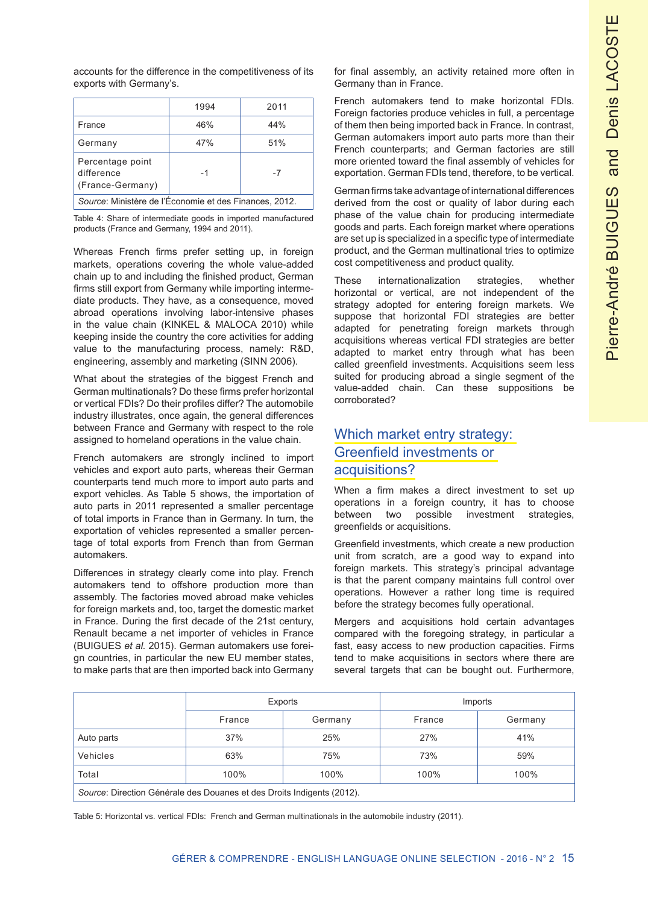accounts for the difference in the competitiveness of its exports with Germany's.

|                                                                | 1994 | 2011 |  |
|----------------------------------------------------------------|------|------|--|
| France                                                         | 46%  | 44%  |  |
| Germany                                                        | 47%  | 51%  |  |
| Percentage point<br>difference<br>-7<br>-1<br>(France-Germany) |      |      |  |
| Source: Ministère de l'Économie et des Finances, 2012.         |      |      |  |

Table 4: Share of intermediate goods in imported manufactured products (France and Germany, 1994 and 2011).

Whereas French firms prefer setting up, in foreign markets, operations covering the whole value-added chain up to and including the finished product, German firms still export from Germany while importing intermediate products. They have, as a consequence, moved abroad operations involving labor-intensive phases in the value chain (KINKEL & MALOCA 2010) while keeping inside the country the core activities for adding value to the manufacturing process, namely: R&D, engineering, assembly and marketing (SINN 2006).

What about the strategies of the biggest French and German multinationals? Do these firms prefer horizontal or vertical FDIs? Do their profiles differ? The automobile industry illustrates, once again, the general differences between France and Germany with respect to the role assigned to homeland operations in the value chain.

French automakers are strongly inclined to import vehicles and export auto parts, whereas their German counterparts tend much more to import auto parts and export vehicles. As Table 5 shows, the importation of auto parts in 2011 represented a smaller percentage of total imports in France than in Germany. In turn, the exportation of vehicles represented a smaller percentage of total exports from French than from German automakers.

Differences in strategy clearly come into play. French automakers tend to offshore production more than assembly. The factories moved abroad make vehicles for foreign markets and, too, target the domestic market in France. During the first decade of the 21st century, Renault became a net importer of vehicles in France (BUIGUES *et al.* 2015). German automakers use foreign countries, in particular the new EU member states, to make parts that are then imported back into Germany for final assembly, an activity retained more often in Germany than in France.

French automakers tend to make horizontal FDIs. Foreign factories produce vehicles in full, a percentage of them then being imported back in France. In contrast, German automakers import auto parts more than their French counterparts; and German factories are still more oriented toward the final assembly of vehicles for exportation. German FDIs tend, therefore, to be vertical.

German firms take advantage of international differences derived from the cost or quality of labor during each phase of the value chain for producing intermediate goods and parts. Each foreign market where operations are set up is specialized in a specific type of intermediate product, and the German multinational tries to optimize cost competitiveness and product quality.

These internationalization strategies, whether horizontal or vertical, are not independent of the strategy adopted for entering foreign markets. We suppose that horizontal FDI strategies are better adapted for penetrating foreign markets through acquisitions whereas vertical FDI strategies are better adapted to market entry through what has been called greenfield investments. Acquisitions seem less suited for producing abroad a single segment of the value-added chain. Can these suppositions be corroborated?

# Which market entry strategy: Greenfield investments or acquisitions?

When a firm makes a direct investment to set up operations in a foreign country, it has to choose between two possible investment strategies, greenfields or acquisitions.

Greenfield investments, which create a new production unit from scratch, are a good way to expand into foreign markets. This strategy's principal advantage is that the parent company maintains full control over operations. However a rather long time is required before the strategy becomes fully operational.

Mergers and acquisitions hold certain advantages compared with the foregoing strategy, in particular a fast, easy access to new production capacities. Firms tend to make acquisitions in sectors where there are several targets that can be bought out. Furthermore,

|                                                                        | Exports |         | Imports |         |
|------------------------------------------------------------------------|---------|---------|---------|---------|
|                                                                        | France  | Germany | France  | Germany |
| Auto parts                                                             | 37%     | 25%     | 27%     | 41%     |
| Vehicles                                                               | 63%     | 75%     | 73%     | 59%     |
| Total                                                                  | 100%    | 100%    | 100%    | 100%    |
| Source: Direction Générale des Douanes et des Droits Indigents (2012). |         |         |         |         |

Table 5: Horizontal vs. vertical FDIs: French and German multinationals in the automobile industry (2011).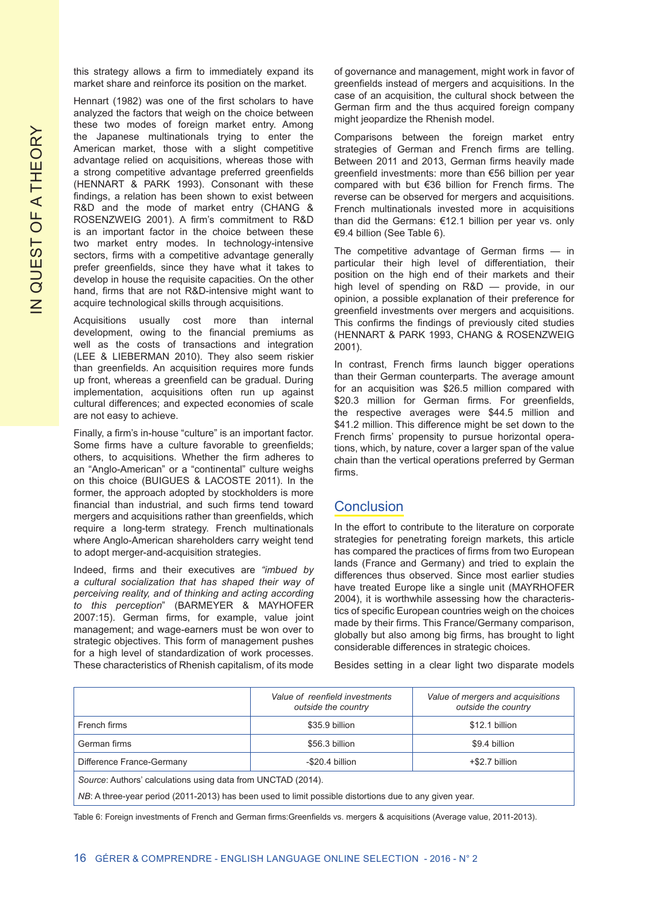this strategy allows a firm to immediately expand its market share and reinforce its position on the market.

Hennart (1982) was one of the first scholars to have analyzed the factors that weigh on the choice between these two modes of foreign market entry. Among the Japanese multinationals trying to enter the American market, those with a slight competitive advantage relied on acquisitions, whereas those with a strong competitive advantage preferred greenfields (HENNART & PARK 1993). Consonant with these findings, a relation has been shown to exist between R&D and the mode of market entry (CHANG & ROSENZWEIG 2001). A firm's commitment to R&D is an important factor in the choice between these two market entry modes. In technology-intensive sectors, firms with a competitive advantage generally prefer greenfields, since they have what it takes to develop in house the requisite capacities. On the other hand, firms that are not R&D-intensive might want to acquire technological skills through acquisitions.

Acquisitions usually cost more than internal development, owing to the financial premiums as well as the costs of transactions and integration (LEE & LIEBERMAN 2010). They also seem riskier than greenfields. An acquisition requires more funds up front, whereas a greenfield can be gradual. During implementation, acquisitions often run up against cultural differences; and expected economies of scale are not easy to achieve.

Finally, a firm's in-house "culture" is an important factor. Some firms have a culture favorable to greenfields; others, to acquisitions. Whether the firm adheres to an "Anglo-American" or a "continental" culture weighs on this choice (BUIGUES & LACOSTE 2011). In the former, the approach adopted by stockholders is more financial than industrial, and such firms tend toward mergers and acquisitions rather than greenfields, which require a long-term strategy. French multinationals where Anglo-American shareholders carry weight tend to adopt merger-and-acquisition strategies.

Indeed, firms and their executives are *"imbued by a cultural socialization that has shaped their way of perceiving reality, and of thinking and acting according to this perception*" (BARMEYER & MAYHOFER 2007:15). German firms, for example, value joint management; and wage-earners must be won over to strategic objectives. This form of management pushes for a high level of standardization of work processes. These characteristics of Rhenish capitalism, of its mode

of governance and management, might work in favor of greenfields instead of mergers and acquisitions. In the case of an acquisition, the cultural shock between the German firm and the thus acquired foreign company might jeopardize the Rhenish model.

Comparisons between the foreign market entry strategies of German and French firms are telling. Between 2011 and 2013, German firms heavily made greenfield investments: more than €56 billion per year compared with but €36 billion for French firms. The reverse can be observed for mergers and acquisitions. French multinationals invested more in acquisitions than did the Germans: €12.1 billion per year vs. only €9.4 billion (See Table 6).

The competitive advantage of German firms — in particular their high level of differentiation, their position on the high end of their markets and their high level of spending on R&D — provide, in our opinion, a possible explanation of their preference for greenfield investments over mergers and acquisitions. This confirms the findings of previously cited studies (HENNART & PARK 1993, CHANG & ROSENZWEIG 2001).

In contrast, French firms launch bigger operations than their German counterparts. The average amount for an acquisition was \$26.5 million compared with \$20.3 million for German firms. For greenfields, the respective averages were \$44.5 million and \$41.2 million. This difference might be set down to the French firms' propensity to pursue horizontal operations, which, by nature, cover a larger span of the value chain than the vertical operations preferred by German firms.

#### **Conclusion**

In the effort to contribute to the literature on corporate strategies for penetrating foreign markets, this article has compared the practices of firms from two European lands (France and Germany) and tried to explain the differences thus observed. Since most earlier studies have treated Europe like a single unit (MAYRHOFER 2004), it is worthwhile assessing how the characteristics of specific European countries weigh on the choices made by their firms. This France/Germany comparison, globally but also among big firms, has brought to light considerable differences in strategic choices.

Besides setting in a clear light two disparate models

|                                                                                                        | Value of reenfield investments<br>outside the country | Value of mergers and acquisitions<br>outside the country |  |
|--------------------------------------------------------------------------------------------------------|-------------------------------------------------------|----------------------------------------------------------|--|
| French firms                                                                                           | \$35.9 billion                                        | \$12.1 billion                                           |  |
| German firms                                                                                           | \$56.3 billion                                        | \$9.4 billion                                            |  |
| Difference France-Germany                                                                              | -\$20.4 billion                                       | +\$2.7 billion                                           |  |
| Source: Authors' calculations using data from UNCTAD (2014).                                           |                                                       |                                                          |  |
| NB: A three-year period (2011-2013) has been used to limit possible distortions due to any given year. |                                                       |                                                          |  |

Table 6: Foreign investments of French and German firms:Greenfields vs. mergers & acquisitions (Average value, 2011-2013).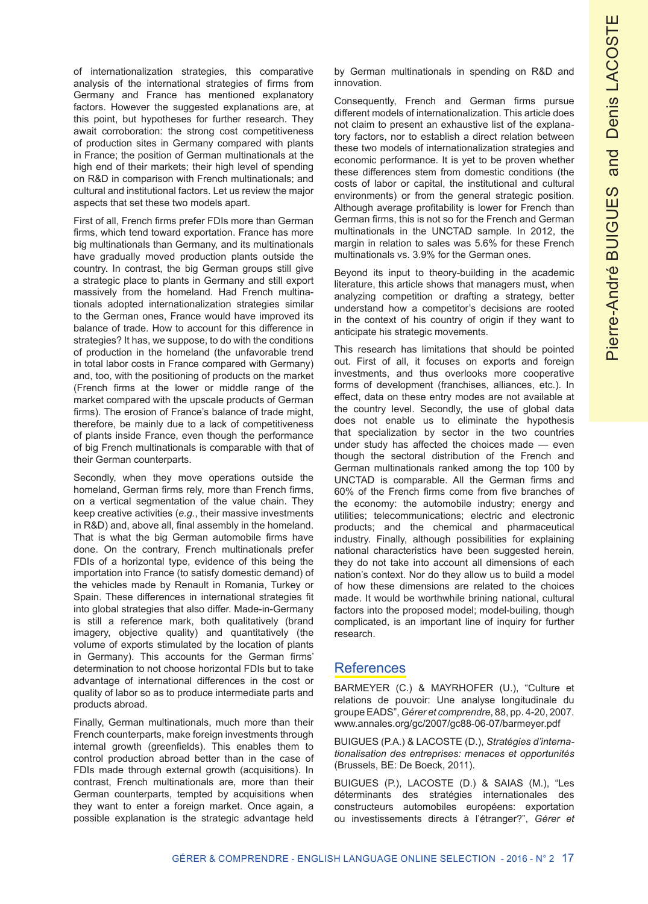of internationalization strategies, this comparative analysis of the international strategies of firms from Germany and France has mentioned explanatory factors. However the suggested explanations are, at this point, but hypotheses for further research. They await corroboration: the strong cost competitiveness of production sites in Germany compared with plants in France; the position of German multinationals at the high end of their markets; their high level of spending on R&D in comparison with French multinationals; and cultural and institutional factors. Let us review the major aspects that set these two models apart.

First of all, French firms prefer FDIs more than German firms, which tend toward exportation. France has more big multinationals than Germany, and its multinationals have gradually moved production plants outside the country. In contrast, the big German groups still give a strategic place to plants in Germany and still export massively from the homeland. Had French multinationals adopted internationalization strategies similar to the German ones, France would have improved its balance of trade. How to account for this difference in strategies? It has, we suppose, to do with the conditions of production in the homeland (the unfavorable trend in total labor costs in France compared with Germany) and, too, with the positioning of products on the market (French firms at the lower or middle range of the market compared with the upscale products of German firms). The erosion of France's balance of trade might, therefore, be mainly due to a lack of competitiveness of plants inside France, even though the performance of big French multinationals is comparable with that of their German counterparts.

Secondly, when they move operations outside the homeland, German firms rely, more than French firms, on a vertical segmentation of the value chain. They keep creative activities (*e.g.*, their massive investments in R&D) and, above all, final assembly in the homeland. That is what the big German automobile firms have done. On the contrary, French multinationals prefer FDIs of a horizontal type, evidence of this being the importation into France (to satisfy domestic demand) of the vehicles made by Renault in Romania, Turkey or Spain. These differences in international strategies fit into global strategies that also differ. Made-in-Germany is still a reference mark, both qualitatively (brand imagery, objective quality) and quantitatively (the volume of exports stimulated by the location of plants in Germany). This accounts for the German firms' determination to not choose horizontal FDIs but to take advantage of international differences in the cost or quality of labor so as to produce intermediate parts and products abroad.

Finally, German multinationals, much more than their French counterparts, make foreign investments through internal growth (greenfields). This enables them to control production abroad better than in the case of FDIs made through external growth (acquisitions). In contrast, French multinationals are, more than their German counterparts, tempted by acquisitions when they want to enter a foreign market. Once again, a possible explanation is the strategic advantage held by German multinationals in spending on R&D and innovation.

Consequently, French and German firms pursue different models of internationalization. This article does not claim to present an exhaustive list of the explanatory factors, nor to establish a direct relation between these two models of internationalization strategies and economic performance. It is yet to be proven whether these differences stem from domestic conditions (the costs of labor or capital, the institutional and cultural environments) or from the general strategic position. Although average profitability is lower for French than German firms, this is not so for the French and German multinationals in the UNCTAD sample. In 2012, the margin in relation to sales was 5.6% for these French multinationals vs. 3.9% for the German ones.

Beyond its input to theory-building in the academic literature, this article shows that managers must, when analyzing competition or drafting a strategy, better understand how a competitor's decisions are rooted in the context of his country of origin if they want to anticipate his strategic movements.

This research has limitations that should be pointed out. First of all, it focuses on exports and foreign investments, and thus overlooks more cooperative forms of development (franchises, alliances, etc.). In effect, data on these entry modes are not available at the country level. Secondly, the use of global data does not enable us to eliminate the hypothesis that specialization by sector in the two countries under study has affected the choices made — even though the sectoral distribution of the French and German multinationals ranked among the top 100 by UNCTAD is comparable. All the German firms and 60% of the French firms come from five branches of the economy: the automobile industry; energy and utilities; telecommunications; electric and electronic products; and the chemical and pharmaceutical industry. Finally, although possibilities for explaining national characteristics have been suggested herein, they do not take into account all dimensions of each nation's context. Nor do they allow us to build a model of how these dimensions are related to the choices made. It would be worthwhile brining national, cultural factors into the proposed model; model-builing, though complicated, is an important line of inquiry for further research.

### **References**

BARMEYER (C.) & MAYRHOFER (U.), "Culture et relations de pouvoir: Une analyse longitudinale du groupe EADS", *Gérer et comprendre*, 88, pp. 4-20, 2007. www.annales.org/gc/2007/gc88-06-07/barmeyer.pdf

BUIGUES (P.A.) & LACOSTE (D.), *Stratégies d'internationalisation des entreprises: menaces et opportunités* (Brussels, BE: De Boeck, 2011).

BUIGUES (P.), LACOSTE (D.) & SAIAS (M.), "Les déterminants des stratégies internationales des constructeurs automobiles européens: exportation ou investissements directs à l'étranger?", *Gérer et*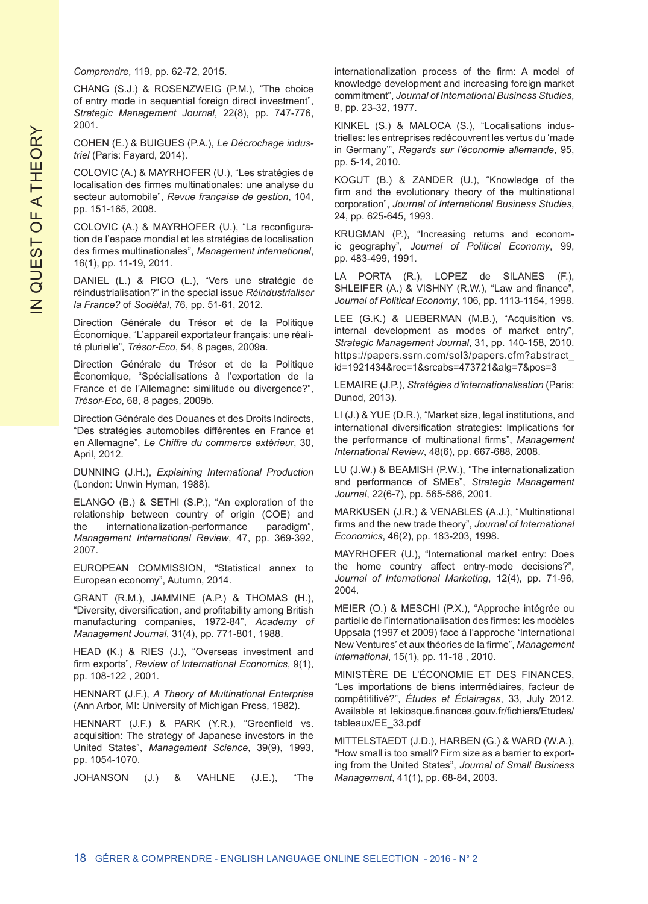#### *Comprendre*, 119, pp. 62-72, 2015.

CHANG (S.J.) & ROSENZWEIG (P.M.), "The choice of entry mode in sequential foreign direct investment", *Strategic Management Journal*, 22(8), pp. 747-776, 2001.

COHEN (E.) & BUIGUES (P.A.), *Le Décrochage industriel* (Paris: Fayard, 2014).

COLOVIC (A.) & MAYRHOFER (U.), "Les stratégies de localisation des firmes multinationales: une analyse du secteur automobile", *Revue française de gestion*, 104, pp. 151-165, 2008.

COLOVIC (A.) & MAYRHOFER (U.), "La reconfiguration de l'espace mondial et les stratégies de localisation des firmes multinationales", *Management international*, 16(1), pp. 11-19, 2011.

DANIEL (L.) & PICO (L.), "Vers une stratégie de réindustrialisation?" in the special issue *Réindustrialiser la France?* of *Sociétal*, 76, pp. 51-61, 2012.

Direction Générale du Trésor et de la Politique Économique, "L'appareil exportateur français: une réalité plurielle", *Trésor-Eco*, 54, 8 pages, 2009a.

Direction Générale du Trésor et de la Politique Économique, "Spécialisations à l'exportation de la France et de l'Allemagne: similitude ou divergence?", *Trésor-Eco*, 68, 8 pages, 2009b.

Direction Générale des Douanes et des Droits Indirects, "Des stratégies automobiles différentes en France et en Allemagne", *Le Chiffre du commerce extérieur*, 30, April, 2012.

DUNNING (J.H.), *Explaining International Production* (London: Unwin Hyman, 1988).

ELANGO (B.) & SETHI (S.P.), "An exploration of the relationship between country of origin (COE) and the internationalization-performance paradigm", *Management International Review*, 47, pp. 369-392, 2007.

EUROPEAN COMMISSION, "Statistical annex to European economy", Autumn, 2014.

GRANT (R.M.), JAMMINE (A.P.) & THOMAS (H.), "Diversity, diversification, and profitability among British manufacturing companies, 1972-84", *Academy of Management Journal*, 31(4), pp. 771-801, 1988.

HEAD (K.) & RIES (J.), "Overseas investment and firm exports", *Review of International Economics*, 9(1), pp. 108-122 , 2001.

HENNART (J.F.), *A Theory of Multinational Enterprise* (Ann Arbor, MI: University of Michigan Press, 1982).

HENNART (J.F.) & PARK (Y.R.), "Greenfield vs. acquisition: The strategy of Japanese investors in the United States", *Management Science*, 39(9), 1993, pp. 1054-1070.

JOHANSON (J.) & VAHLNE (J.E.), "The

internationalization process of the firm: A model of knowledge development and increasing foreign market commitment", *Journal of International Business Studies*, 8, pp. 23-32, 1977.

KINKEL (S.) & MALOCA (S.), "Localisations industrielles: les entreprises redécouvrent les vertus du 'made in Germany'", *Regards sur l'économie allemande*, 95, pp. 5-14, 2010.

KOGUT (B.) & ZANDER (U.), "Knowledge of the firm and the evolutionary theory of the multinational corporation", *Journal of International Business Studies*, 24, pp. 625-645, 1993.

KRUGMAN (P.), "Increasing returns and economic geography", *Journal of Political Economy*, 99, pp. 483-499, 1991.

LA PORTA (R.), LOPEZ de SILANES (F.), SHLEIFER (A.) & VISHNY (R.W.), "Law and finance", *Journal of Political Economy*, 106, pp. 1113-1154, 1998.

LEE (G.K.) & LIEBERMAN (M.B.), "Acquisition vs. internal development as modes of market entry", *Strategic Management Journal*, 31, pp. 140-158, 2010. https://papers.ssrn.com/sol3/papers.cfm?abstract\_ id=1921434&rec=1&srcabs=473721&alg=7&pos=3

LEMAIRE (J.P.), *Stratégies d'internationalisation* (Paris: Dunod, 2013).

LI (J.) & YUE (D.R.), "Market size, legal institutions, and international diversification strategies: Implications for the performance of multinational firms", *Management International Review*, 48(6), pp. 667-688, 2008.

LU (J.W.) & BEAMISH (P.W.), "The internationalization and performance of SMEs", *Strategic Management Journal*, 22(6-7), pp. 565-586, 2001.

MARKUSEN (J.R.) & VENABLES (A.J.), "Multinational firms and the new trade theory", *Journal of International Economics*, 46(2), pp. 183-203, 1998.

MAYRHOFER (U.), "International market entry: Does the home country affect entry-mode decisions?", *Journal of International Marketing*, 12(4), pp. 71-96, 2004.

MEIER (O.) & MESCHI (P.X.), "Approche intégrée ou partielle de l'internationalisation des firmes: les modèles Uppsala (1997 et 2009) face à l'approche 'International New Ventures' et aux théories de la firme", *Management international*, 15(1), pp. 11-18 , 2010.

MINISTÈRE DE L'ÉCONOMIE ET DES FINANCES, "Les importations de biens intermédiaires, facteur de compétititivé?", *Études et Éclairages*, 33, July 2012. Available at lekiosque.finances.gouv.fr/fichiers/Etudes/ tableaux/EE\_33.pdf

MITTELSTAEDT (J.D.), HARBEN (G.) & WARD (W.A.), "How small is too small? Firm size as a barrier to exporting from the United States", *Journal of Small Business Management*, 41(1), pp. 68-84, 2003.